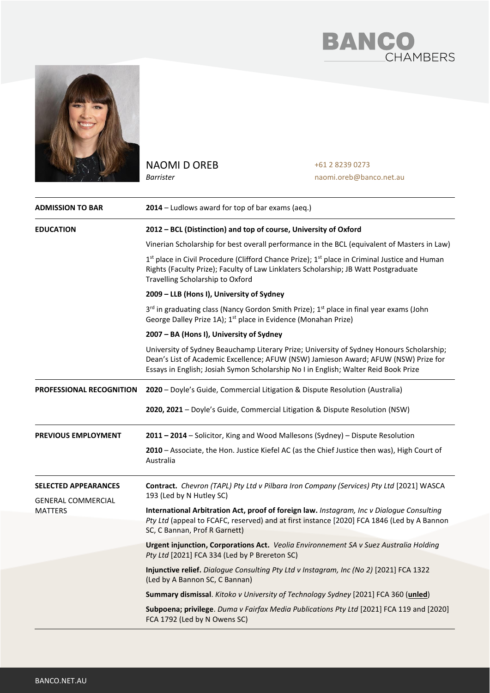



NAOMI D OREB *Barrister*

+61 2 8239 0273 naomi.oreb@banco.net.au

| <b>ADMISSION TO BAR</b>                                                    | 2014 - Ludlows award for top of bar exams (aeq.)                                                                                                                                                                                                                       |
|----------------------------------------------------------------------------|------------------------------------------------------------------------------------------------------------------------------------------------------------------------------------------------------------------------------------------------------------------------|
| <b>EDUCATION</b>                                                           | 2012 - BCL (Distinction) and top of course, University of Oxford                                                                                                                                                                                                       |
|                                                                            | Vinerian Scholarship for best overall performance in the BCL (equivalent of Masters in Law)                                                                                                                                                                            |
|                                                                            | 1st place in Civil Procedure (Clifford Chance Prize); 1st place in Criminal Justice and Human<br>Rights (Faculty Prize); Faculty of Law Linklaters Scholarship; JB Watt Postgraduate<br>Travelling Scholarship to Oxford                                               |
|                                                                            | 2009 - LLB (Hons I), University of Sydney                                                                                                                                                                                                                              |
|                                                                            | 3rd in graduating class (Nancy Gordon Smith Prize); 1st place in final year exams (John<br>George Dalley Prize 1A); 1 <sup>st</sup> place in Evidence (Monahan Prize)                                                                                                  |
|                                                                            | 2007 - BA (Hons I), University of Sydney                                                                                                                                                                                                                               |
|                                                                            | University of Sydney Beauchamp Literary Prize; University of Sydney Honours Scholarship;<br>Dean's List of Academic Excellence; AFUW (NSW) Jamieson Award; AFUW (NSW) Prize for<br>Essays in English; Josiah Symon Scholarship No I in English; Walter Reid Book Prize |
| <b>PROFESSIONAL RECOGNITION</b>                                            | 2020 - Doyle's Guide, Commercial Litigation & Dispute Resolution (Australia)                                                                                                                                                                                           |
|                                                                            | 2020, 2021 - Doyle's Guide, Commercial Litigation & Dispute Resolution (NSW)                                                                                                                                                                                           |
| <b>PREVIOUS EMPLOYMENT</b>                                                 | 2011 - 2014 - Solicitor, King and Wood Mallesons (Sydney) - Dispute Resolution                                                                                                                                                                                         |
|                                                                            | 2010 - Associate, the Hon. Justice Kiefel AC (as the Chief Justice then was), High Court of<br>Australia                                                                                                                                                               |
| <b>SELECTED APPEARANCES</b><br><b>GENERAL COMMERCIAL</b><br><b>MATTERS</b> | Contract. Chevron (TAPL) Pty Ltd v Pilbara Iron Company (Services) Pty Ltd [2021] WASCA<br>193 (Led by N Hutley SC)                                                                                                                                                    |
|                                                                            | International Arbitration Act, proof of foreign law. Instagram, Inc v Dialogue Consulting<br>Pty Ltd (appeal to FCAFC, reserved) and at first instance [2020] FCA 1846 (Led by A Bannon<br>SC, C Bannan, Prof R Garnett)                                               |
|                                                                            | Urgent injunction, Corporations Act. Veolia Environnement SA v Suez Australia Holding<br>Pty Ltd [2021] FCA 334 (Led by P Brereton SC)                                                                                                                                 |
|                                                                            | Injunctive relief. Dialogue Consulting Pty Ltd v Instagram, Inc (No 2) [2021] FCA 1322<br>(Led by A Bannon SC, C Bannan)                                                                                                                                               |
|                                                                            | Summary dismissal. Kitoko v University of Technology Sydney [2021] FCA 360 (unled)                                                                                                                                                                                     |
|                                                                            | Subpoena; privilege. Duma v Fairfax Media Publications Pty Ltd [2021] FCA 119 and [2020]<br>FCA 1792 (Led by N Owens SC)                                                                                                                                               |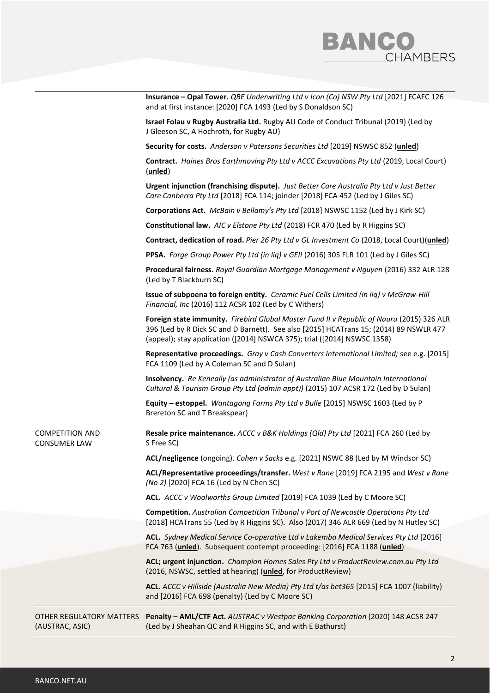

|                                               | Insurance - Opal Tower. QBE Underwriting Ltd v Icon (Co) NSW Pty Ltd [2021] FCAFC 126<br>and at first instance: [2020] FCA 1493 (Led by S Donaldson SC)                                                                                                         |
|-----------------------------------------------|-----------------------------------------------------------------------------------------------------------------------------------------------------------------------------------------------------------------------------------------------------------------|
|                                               | Israel Folau v Rugby Australia Ltd. Rugby AU Code of Conduct Tribunal (2019) (Led by<br>J Gleeson SC, A Hochroth, for Rugby AU)                                                                                                                                 |
|                                               | Security for costs. Anderson v Patersons Securities Ltd [2019] NSWSC 852 (unled)                                                                                                                                                                                |
|                                               | Contract. Haines Bros Earthmoving Pty Ltd v ACCC Excavations Pty Ltd (2019, Local Court)<br>(unled)                                                                                                                                                             |
|                                               | Urgent injunction (franchising dispute). Just Better Care Australia Pty Ltd v Just Better<br>Care Canberra Pty Ltd [2018] FCA 114; joinder [2018] FCA 452 (Led by J Giles SC)                                                                                   |
|                                               | Corporations Act. McBain v Bellamy's Pty Ltd [2018] NSWSC 1152 (Led by J Kirk SC)                                                                                                                                                                               |
|                                               | Constitutional law. AIC v Elstone Pty Ltd (2018) FCR 470 (Led by R Higgins SC)                                                                                                                                                                                  |
|                                               | Contract, dedication of road. Pier 26 Pty Ltd v GL Investment Co (2018, Local Court)(unled)                                                                                                                                                                     |
|                                               | PPSA. Forge Group Power Pty Ltd (in lig) v GEII (2016) 305 FLR 101 (Led by J Giles SC)                                                                                                                                                                          |
|                                               | Procedural fairness. Royal Guardian Mortgage Management v Nguyen (2016) 332 ALR 128<br>(Led by T Blackburn SC)                                                                                                                                                  |
|                                               | Issue of subpoena to foreign entity. Ceramic Fuel Cells Limited (in liq) v McGraw-Hill<br>Financial, Inc (2016) 112 ACSR 102 (Led by C Withers)                                                                                                                 |
|                                               | Foreign state immunity. Firebird Global Master Fund II v Republic of Nauru (2015) 326 ALR<br>396 (Led by R Dick SC and D Barnett). See also [2015] HCATrans 15; (2014) 89 NSWLR 477<br>(appeal); stay application ([2014] NSWCA 375); trial ([2014] NSWSC 1358) |
|                                               | Representative proceedings. Gray v Cash Converters International Limited; see e.g. [2015]<br>FCA 1109 (Led by A Coleman SC and D Sulan)                                                                                                                         |
|                                               | <b>Insolvency.</b> Re Keneally (as administrator of Australian Blue Mountain International<br>Cultural & Tourism Group Pty Ltd (admin appt)) (2015) 107 ACSR 172 (Led by D Sulan)                                                                               |
|                                               | Equity - estoppel. Wantagong Farms Pty Ltd v Bulle [2015] NSWSC 1603 (Led by P<br>Brereton SC and T Breakspear)                                                                                                                                                 |
| <b>COMPETITION AND</b><br><b>CONSUMER LAW</b> | Resale price maintenance. ACCC v B&K Holdings (Qld) Pty Ltd [2021] FCA 260 (Led by<br>S Free SC)                                                                                                                                                                |
|                                               | ACL/negligence (ongoing). Cohen v Sacks e.g. [2021] NSWC 88 (Led by M Windsor SC)                                                                                                                                                                               |
|                                               | ACL/Representative proceedings/transfer. West v Rane [2019] FCA 2195 and West v Rane<br>(No 2) [2020] FCA 16 (Led by N Chen SC)                                                                                                                                 |
|                                               | ACL. ACCC v Woolworths Group Limited [2019] FCA 1039 (Led by C Moore SC)                                                                                                                                                                                        |
|                                               | Competition. Australian Competition Tribunal v Port of Newcastle Operations Pty Ltd<br>[2018] HCATrans 55 (Led by R Higgins SC). Also (2017) 346 ALR 669 (Led by N Hutley SC)                                                                                   |
|                                               | ACL. Sydney Medical Service Co-operative Ltd v Lakemba Medical Services Pty Ltd [2016]<br>FCA 763 (unled). Subsequent contempt proceeding: [2016] FCA 1188 (unled)                                                                                              |
|                                               | ACL; urgent injunction. Champion Homes Sales Pty Ltd v ProductReview.com.au Pty Ltd<br>(2016, NSWSC, settled at hearing) (unled, for ProductReview)                                                                                                             |
|                                               | ACL. ACCC v Hillside (Australia New Media) Pty Ltd t/as bet365 [2015] FCA 1007 (liability)<br>and [2016] FCA 698 (penalty) (Led by C Moore SC)                                                                                                                  |
| OTHER REGULATORY MATTERS<br>(AUSTRAC, ASIC)   | Penalty - AML/CTF Act. AUSTRAC v Westpac Banking Corporation (2020) 148 ACSR 247<br>(Led by J Sheahan QC and R Higgins SC, and with E Bathurst)                                                                                                                 |
|                                               |                                                                                                                                                                                                                                                                 |